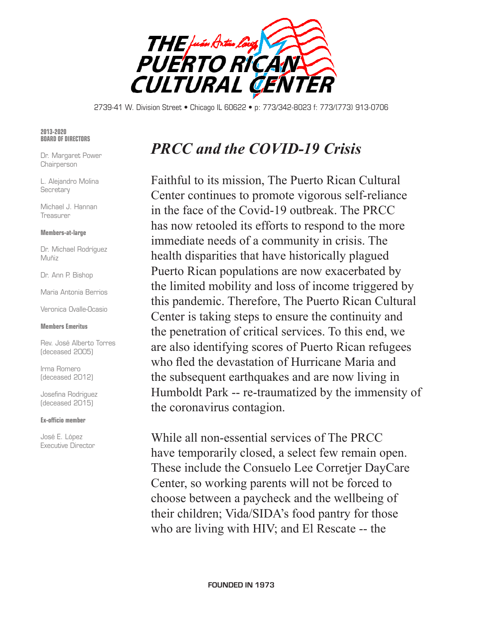

2739-41 W. Division Street • Chicago IL 60622 • p: 773/342-8023 f: 773/(773) 913-0706

### **2013-2020 BOARD OF DIRECTORS**

Dr. Margaret Power **Chairperson** 

L. Alejandro Molina **Secretary** 

Michael J. Hannan Treasurer

### **Members-at-large**

Dr. Michael Rodríguez Muñiz

Dr. Ann P. Bishop

Maria Antonia Berrios

Veronica Ovalle-Ocasio

### **Members Emeritus**

Rev. José Alberto Torres (deceased 2005)

Irma Romero (deceased 2012)

Josefina Rodriguez (deceased 2015)

### **Ex-officio member**

José E. López Executive Director

# *PRCC and the COVID-19 Crisis*

Faithful to its mission, The Puerto Rican Cultural Center continues to promote vigorous self-reliance in the face of the Covid-19 outbreak. The PRCC has now retooled its efforts to respond to the more immediate needs of a community in crisis. The health disparities that have historically plagued Puerto Rican populations are now exacerbated by the limited mobility and loss of income triggered by this pandemic. Therefore, The Puerto Rican Cultural Center is taking steps to ensure the continuity and the penetration of critical services. To this end, we are also identifying scores of Puerto Rican refugees who fled the devastation of Hurricane Maria and the subsequent earthquakes and are now living in Humboldt Park -- re-traumatized by the immensity of the coronavirus contagion.

While all non-essential services of The PRCC have temporarily closed, a select few remain open. These include the Consuelo Lee Corretjer DayCare Center, so working parents will not be forced to choose between a paycheck and the wellbeing of their children; Vida/SIDA's food pantry for those who are living with HIV; and El Rescate -- the